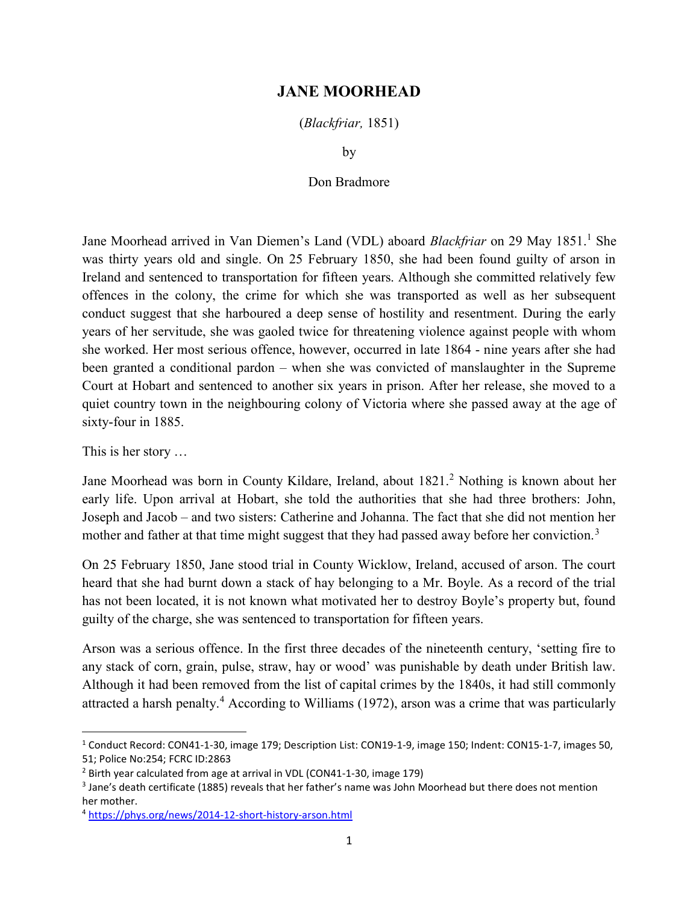## JANE MOORHEAD

(Blackfriar, 1851)

by

## Don Bradmore

Jane Moorhead arrived in Van Diemen's Land (VDL) aboard *Blackfriar* on 29 May 1851.<sup>1</sup> She was thirty years old and single. On 25 February 1850, she had been found guilty of arson in Ireland and sentenced to transportation for fifteen years. Although she committed relatively few offences in the colony, the crime for which she was transported as well as her subsequent conduct suggest that she harboured a deep sense of hostility and resentment. During the early years of her servitude, she was gaoled twice for threatening violence against people with whom she worked. Her most serious offence, however, occurred in late 1864 - nine years after she had been granted a conditional pardon – when she was convicted of manslaughter in the Supreme Court at Hobart and sentenced to another six years in prison. After her release, she moved to a quiet country town in the neighbouring colony of Victoria where she passed away at the age of sixty-four in 1885.

This is her story …

Jane Moorhead was born in County Kildare, Ireland, about 1821.<sup>2</sup> Nothing is known about her early life. Upon arrival at Hobart, she told the authorities that she had three brothers: John, Joseph and Jacob – and two sisters: Catherine and Johanna. The fact that she did not mention her mother and father at that time might suggest that they had passed away before her conviction.<sup>3</sup>

On 25 February 1850, Jane stood trial in County Wicklow, Ireland, accused of arson. The court heard that she had burnt down a stack of hay belonging to a Mr. Boyle. As a record of the trial has not been located, it is not known what motivated her to destroy Boyle's property but, found guilty of the charge, she was sentenced to transportation for fifteen years.

Arson was a serious offence. In the first three decades of the nineteenth century, 'setting fire to any stack of corn, grain, pulse, straw, hay or wood' was punishable by death under British law. Although it had been removed from the list of capital crimes by the 1840s, it had still commonly attracted a harsh penalty.<sup>4</sup> According to Williams (1972), arson was a crime that was particularly

<sup>&</sup>lt;sup>1</sup> Conduct Record: CON41-1-30, image 179; Description List: CON19-1-9, image 150; Indent: CON15-1-7, images 50, 51; Police No:254; FCRC ID:2863

<sup>&</sup>lt;sup>2</sup> Birth year calculated from age at arrival in VDL (CON41-1-30, image 179)

<sup>&</sup>lt;sup>3</sup> Jane's death certificate (1885) reveals that her father's name was John Moorhead but there does not mention her mother.

<sup>4</sup> https://phys.org/news/2014-12-short-history-arson.html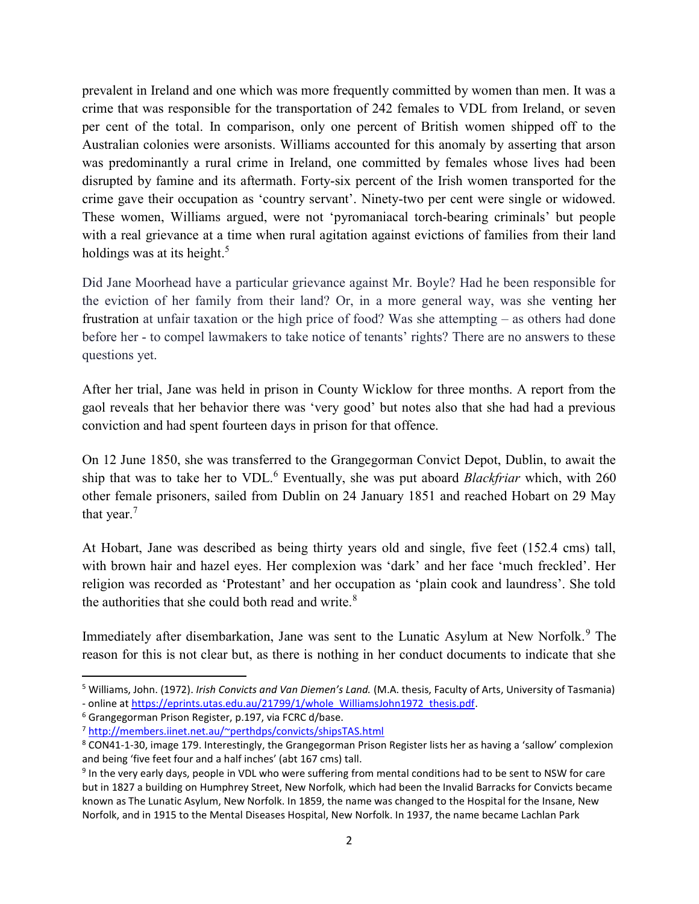prevalent in Ireland and one which was more frequently committed by women than men. It was a crime that was responsible for the transportation of 242 females to VDL from Ireland, or seven per cent of the total. In comparison, only one percent of British women shipped off to the Australian colonies were arsonists. Williams accounted for this anomaly by asserting that arson was predominantly a rural crime in Ireland, one committed by females whose lives had been disrupted by famine and its aftermath. Forty-six percent of the Irish women transported for the crime gave their occupation as 'country servant'. Ninety-two per cent were single or widowed. These women, Williams argued, were not 'pyromaniacal torch-bearing criminals' but people with a real grievance at a time when rural agitation against evictions of families from their land holdings was at its height.<sup>5</sup>

Did Jane Moorhead have a particular grievance against Mr. Boyle? Had he been responsible for the eviction of her family from their land? Or, in a more general way, was she venting her frustration at unfair taxation or the high price of food? Was she attempting – as others had done before her - to compel lawmakers to take notice of tenants' rights? There are no answers to these questions yet.

After her trial, Jane was held in prison in County Wicklow for three months. A report from the gaol reveals that her behavior there was 'very good' but notes also that she had had a previous conviction and had spent fourteen days in prison for that offence.

On 12 June 1850, she was transferred to the Grangegorman Convict Depot, Dublin, to await the ship that was to take her to VDL.<sup>6</sup> Eventually, she was put aboard *Blackfriar* which, with 260 other female prisoners, sailed from Dublin on 24 January 1851 and reached Hobart on 29 May that year.<sup>7</sup>

At Hobart, Jane was described as being thirty years old and single, five feet (152.4 cms) tall, with brown hair and hazel eyes. Her complexion was 'dark' and her face 'much freckled'. Her religion was recorded as 'Protestant' and her occupation as 'plain cook and laundress'. She told the authorities that she could both read and write.<sup>8</sup>

Immediately after disembarkation, Jane was sent to the Lunatic Asylum at New Norfolk.<sup>9</sup> The reason for this is not clear but, as there is nothing in her conduct documents to indicate that she

<sup>&</sup>lt;sup>5</sup> Williams, John. (1972). *Irish Convicts and Van Diemen's Land*. (M.A. thesis, Faculty of Arts, University of Tasmania) - online at https://eprints.utas.edu.au/21799/1/whole\_WilliamsJohn1972\_thesis.pdf.

<sup>&</sup>lt;sup>6</sup> Grangegorman Prison Register, p.197, via FCRC d/base.

<sup>7</sup> http://members.iinet.net.au/~perthdps/convicts/shipsTAS.html

<sup>&</sup>lt;sup>8</sup> CON41-1-30, image 179. Interestingly, the Grangegorman Prison Register lists her as having a 'sallow' complexion and being 'five feet four and a half inches' (abt 167 cms) tall.

<sup>&</sup>lt;sup>9</sup> In the very early days, people in VDL who were suffering from mental conditions had to be sent to NSW for care but in 1827 a building on Humphrey Street, New Norfolk, which had been the Invalid Barracks for Convicts became known as The Lunatic Asylum, New Norfolk. In 1859, the name was changed to the Hospital for the Insane, New Norfolk, and in 1915 to the Mental Diseases Hospital, New Norfolk. In 1937, the name became Lachlan Park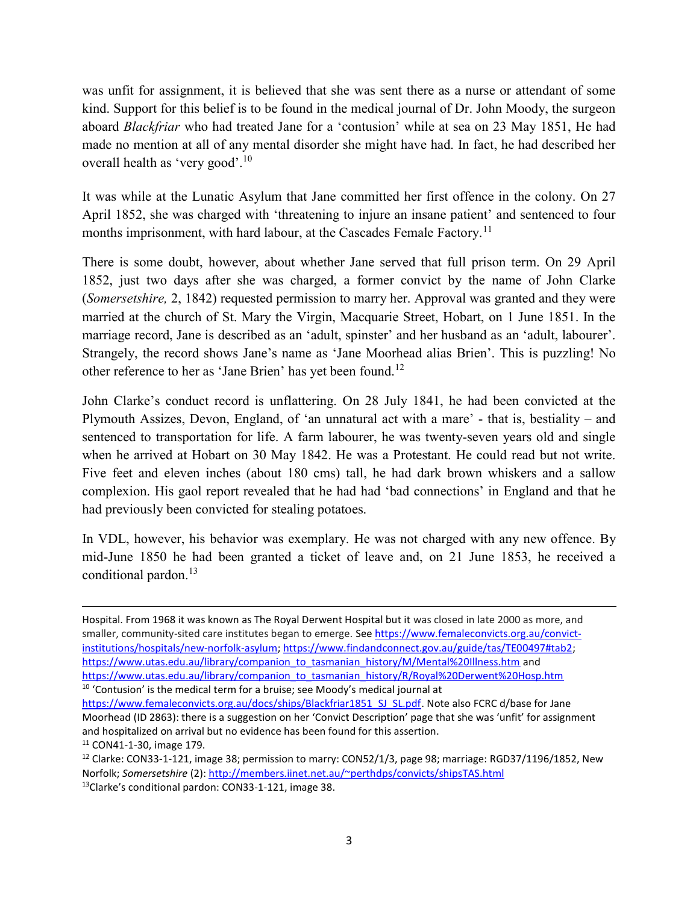was unfit for assignment, it is believed that she was sent there as a nurse or attendant of some kind. Support for this belief is to be found in the medical journal of Dr. John Moody, the surgeon aboard Blackfriar who had treated Jane for a 'contusion' while at sea on 23 May 1851, He had made no mention at all of any mental disorder she might have had. In fact, he had described her overall health as 'very good'.<sup>10</sup>

It was while at the Lunatic Asylum that Jane committed her first offence in the colony. On 27 April 1852, she was charged with 'threatening to injure an insane patient' and sentenced to four months imprisonment, with hard labour, at the Cascades Female Factory.<sup>11</sup>

There is some doubt, however, about whether Jane served that full prison term. On 29 April 1852, just two days after she was charged, a former convict by the name of John Clarke (Somersetshire, 2, 1842) requested permission to marry her. Approval was granted and they were married at the church of St. Mary the Virgin, Macquarie Street, Hobart, on 1 June 1851. In the marriage record, Jane is described as an 'adult, spinster' and her husband as an 'adult, labourer'. Strangely, the record shows Jane's name as 'Jane Moorhead alias Brien'. This is puzzling! No other reference to her as 'Jane Brien' has yet been found.<sup>12</sup>

John Clarke's conduct record is unflattering. On 28 July 1841, he had been convicted at the Plymouth Assizes, Devon, England, of 'an unnatural act with a mare' - that is, bestiality – and sentenced to transportation for life. A farm labourer, he was twenty-seven years old and single when he arrived at Hobart on 30 May 1842. He was a Protestant. He could read but not write. Five feet and eleven inches (about 180 cms) tall, he had dark brown whiskers and a sallow complexion. His gaol report revealed that he had had 'bad connections' in England and that he had previously been convicted for stealing potatoes.

In VDL, however, his behavior was exemplary. He was not charged with any new offence. By mid-June 1850 he had been granted a ticket of leave and, on 21 June 1853, he received a conditional pardon.<sup>13</sup>

<sup>10</sup> 'Contusion' is the medical term for a bruise; see Moody's medical journal at

Hospital. From 1968 it was known as The Royal Derwent Hospital but it was closed in late 2000 as more, and smaller, community-sited care institutes began to emerge. See https://www.femaleconvicts.org.au/convictinstitutions/hospitals/new-norfolk-asylum; https://www.findandconnect.gov.au/guide/tas/TE00497#tab2; https://www.utas.edu.au/library/companion\_to\_tasmanian\_history/M/Mental%20Illness.htm and https://www.utas.edu.au/library/companion\_to\_tasmanian\_history/R/Royal%20Derwent%20Hosp.htm

https://www.femaleconvicts.org.au/docs/ships/Blackfriar1851\_SJ\_SL.pdf. Note also FCRC d/base for Jane Moorhead (ID 2863): there is a suggestion on her 'Convict Description' page that she was 'unfit' for assignment and hospitalized on arrival but no evidence has been found for this assertion. <sup>11</sup> CON41-1-30, image 179.

<sup>&</sup>lt;sup>12</sup> Clarke: CON33-1-121, image 38; permission to marry: CON52/1/3, page 98; marriage: RGD37/1196/1852, New Norfolk; Somersetshire (2): http://members.iinet.net.au/~perthdps/convicts/shipsTAS.html

<sup>13</sup>Clarke's conditional pardon: CON33-1-121, image 38.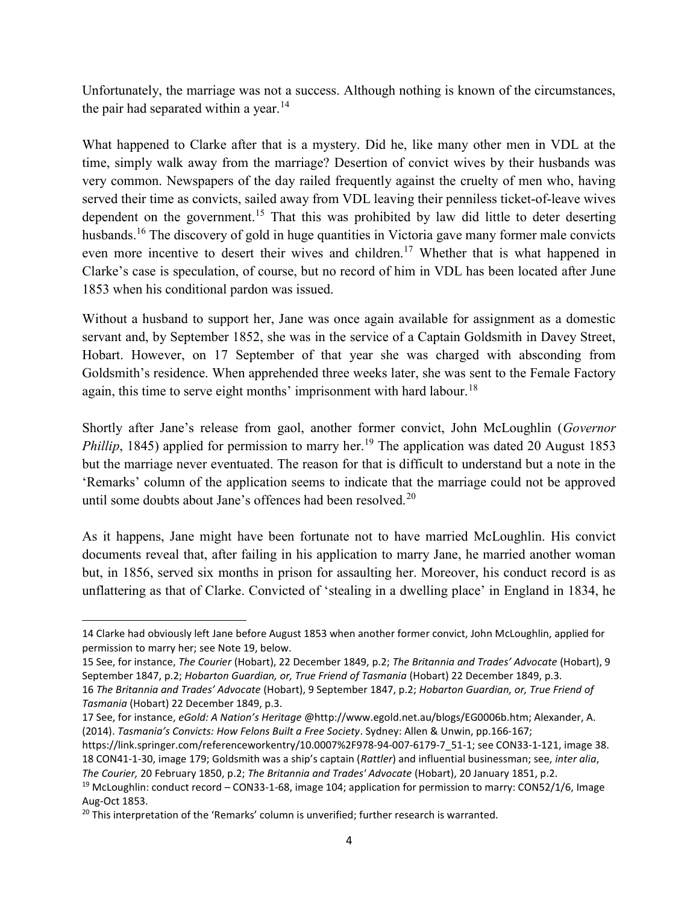Unfortunately, the marriage was not a success. Although nothing is known of the circumstances, the pair had separated within a year.<sup>14</sup>

What happened to Clarke after that is a mystery. Did he, like many other men in VDL at the time, simply walk away from the marriage? Desertion of convict wives by their husbands was very common. Newspapers of the day railed frequently against the cruelty of men who, having served their time as convicts, sailed away from VDL leaving their penniless ticket-of-leave wives dependent on the government.<sup>15</sup> That this was prohibited by law did little to deter deserting husbands.<sup>16</sup> The discovery of gold in huge quantities in Victoria gave many former male convicts even more incentive to desert their wives and children.<sup>17</sup> Whether that is what happened in Clarke's case is speculation, of course, but no record of him in VDL has been located after June 1853 when his conditional pardon was issued.

Without a husband to support her, Jane was once again available for assignment as a domestic servant and, by September 1852, she was in the service of a Captain Goldsmith in Davey Street, Hobart. However, on 17 September of that year she was charged with absconding from Goldsmith's residence. When apprehended three weeks later, she was sent to the Female Factory again, this time to serve eight months' imprisonment with hard labour.<sup>18</sup>

Shortly after Jane's release from gaol, another former convict, John McLoughlin (Governor *Phillip*, 1845) applied for permission to marry her.<sup>19</sup> The application was dated 20 August 1853 but the marriage never eventuated. The reason for that is difficult to understand but a note in the 'Remarks' column of the application seems to indicate that the marriage could not be approved until some doubts about Jane's offences had been resolved.<sup>20</sup>

As it happens, Jane might have been fortunate not to have married McLoughlin. His convict documents reveal that, after failing in his application to marry Jane, he married another woman but, in 1856, served six months in prison for assaulting her. Moreover, his conduct record is as unflattering as that of Clarke. Convicted of 'stealing in a dwelling place' in England in 1834, he

<sup>14</sup> Clarke had obviously left Jane before August 1853 when another former convict, John McLoughlin, applied for permission to marry her; see Note 19, below.

<sup>15</sup> See, for instance, The Courier (Hobart), 22 December 1849, p.2; The Britannia and Trades' Advocate (Hobart), 9 September 1847, p.2; Hobarton Guardian, or, True Friend of Tasmania (Hobart) 22 December 1849, p.3. 16 The Britannia and Trades' Advocate (Hobart), 9 September 1847, p.2; Hobarton Guardian, or, True Friend of Tasmania (Hobart) 22 December 1849, p.3.

<sup>17</sup> See, for instance, eGold: A Nation's Heritage @http://www.egold.net.au/blogs/EG0006b.htm; Alexander, A. (2014). Tasmania's Convicts: How Felons Built a Free Society. Sydney: Allen & Unwin, pp.166-167;

https://link.springer.com/referenceworkentry/10.0007%2F978-94-007-6179-7\_51-1; see CON33-1-121, image 38. 18 CON41-1-30, image 179; Goldsmith was a ship's captain (Rattler) and influential businessman; see, inter alia,

The Courier, 20 February 1850, p.2; The Britannia and Trades' Advocate (Hobart), 20 January 1851, p.2.

<sup>&</sup>lt;sup>19</sup> McLoughlin: conduct record – CON33-1-68, image 104; application for permission to marry: CON52/1/6, Image Aug-Oct 1853.

 $20$  This interpretation of the 'Remarks' column is unverified; further research is warranted.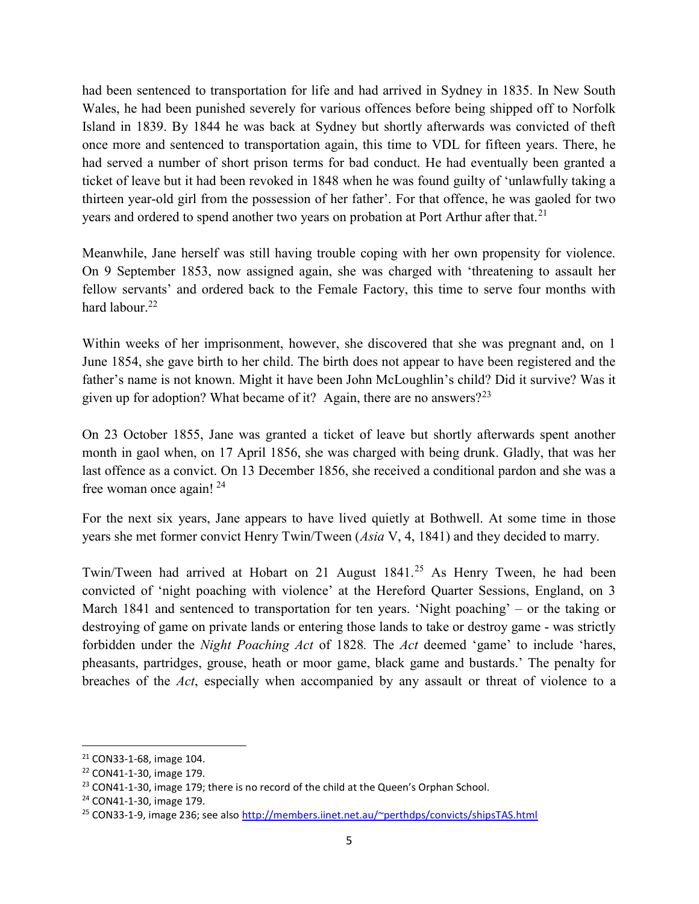had been sentenced to transportation for life and had arrived in Sydney in 1835. In New South Wales, he had been punished severely for various offences before being shipped off to Norfolk Island in 1839. By 1844 he was back at Sydney but shortly afterwards was convicted of theft once more and sentenced to transportation again, this time to VDL for fifteen years. There, he had served a number of short prison terms for bad conduct. He had eventually been granted a ticket of leave but it had been revoked in 1848 when he was found guilty of 'unlawfully taking a thirteen year-old girl from the possession of her father'. For that offence, he was gaoled for two years and ordered to spend another two years on probation at Port Arthur after that.<sup>21</sup>

Meanwhile, Jane herself was still having trouble coping with her own propensity for violence. On 9 September 1853, now assigned again, she was charged with 'threatening to assault her fellow servants' and ordered back to the Female Factory, this time to serve four months with hard labour.<sup>22</sup>

Within weeks of her imprisonment, however, she discovered that she was pregnant and, on 1 June 1854, she gave birth to her child. The birth does not appear to have been registered and the father's name is not known. Might it have been John McLoughlin's child? Did it survive? Was it given up for adoption? What became of it? Again, there are no answers? $2^{23}$ 

On 23 October 1855, Jane was granted a ticket of leave but shortly afterwards spent another month in gaol when, on 17 April 1856, she was charged with being drunk. Gladly, that was her last offence as a convict. On 13 December 1856, she received a conditional pardon and she was a free woman once again!  $24$ 

For the next six years, Jane appears to have lived quietly at Bothwell. At some time in those years she met former convict Henry Twin/Tween (Asia V, 4, 1841) and they decided to marry.

Twin/Tween had arrived at Hobart on 21 August 1841.<sup>25</sup> As Henry Tween, he had been convicted of 'night poaching with violence' at the Hereford Quarter Sessions, England, on 3 March 1841 and sentenced to transportation for ten years. 'Night poaching' – or the taking or destroying of game on private lands or entering those lands to take or destroy game - was strictly forbidden under the *Night Poaching Act* of 1828. The Act deemed 'game' to include 'hares, pheasants, partridges, grouse, heath or moor game, black game and bustards.' The penalty for breaches of the Act, especially when accompanied by any assault or threat of violence to a

 $\overline{a}$ 

<sup>21</sup> CON33-1-68, image 104.

<sup>22</sup> CON41-1-30, image 179.

 $23$  CON41-1-30, image 179; there is no record of the child at the Queen's Orphan School.

<sup>24</sup> CON41-1-30, image 179.

<sup>&</sup>lt;sup>25</sup> CON33-1-9, image 236; see also http://members.iinet.net.au/~perthdps/convicts/shipsTAS.html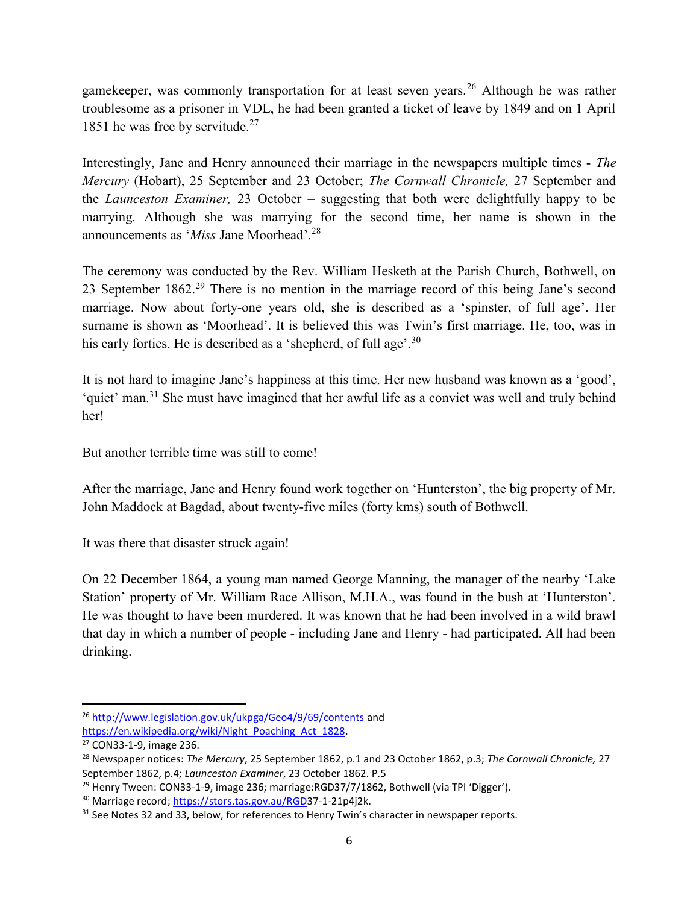gamekeeper, was commonly transportation for at least seven years.<sup>26</sup> Although he was rather troublesome as a prisoner in VDL, he had been granted a ticket of leave by 1849 and on 1 April 1851 he was free by servitude.<sup>27</sup>

Interestingly, Jane and Henry announced their marriage in the newspapers multiple times - The Mercury (Hobart), 25 September and 23 October; The Cornwall Chronicle, 27 September and the Launceston Examiner, 23 October – suggesting that both were delightfully happy to be marrying. Although she was marrying for the second time, her name is shown in the announcements as '*Miss* Jane Moorhead'.<sup>28</sup>

The ceremony was conducted by the Rev. William Hesketh at the Parish Church, Bothwell, on 23 September 1862.<sup>29</sup> There is no mention in the marriage record of this being Jane's second marriage. Now about forty-one years old, she is described as a 'spinster, of full age'. Her surname is shown as 'Moorhead'. It is believed this was Twin's first marriage. He, too, was in his early forties. He is described as a 'shepherd, of full age'.<sup>30</sup>

It is not hard to imagine Jane's happiness at this time. Her new husband was known as a 'good', 'quiet' man.<sup>31</sup> She must have imagined that her awful life as a convict was well and truly behind her!

But another terrible time was still to come!

After the marriage, Jane and Henry found work together on 'Hunterston', the big property of Mr. John Maddock at Bagdad, about twenty-five miles (forty kms) south of Bothwell.

It was there that disaster struck again!

On 22 December 1864, a young man named George Manning, the manager of the nearby 'Lake Station' property of Mr. William Race Allison, M.H.A., was found in the bush at 'Hunterston'. He was thought to have been murdered. It was known that he had been involved in a wild brawl that day in which a number of people - including Jane and Henry - had participated. All had been drinking.

<sup>26</sup> http://www.legislation.gov.uk/ukpga/Geo4/9/69/contents and

https://en.wikipedia.org/wiki/Night\_Poaching\_Act\_1828.

<sup>27</sup> CON33-1-9, image 236.

<sup>&</sup>lt;sup>28</sup> Newspaper notices: The Mercury, 25 September 1862, p.1 and 23 October 1862, p.3; The Cornwall Chronicle, 27 September 1862, p.4; Launceston Examiner, 23 October 1862. P.5

<sup>&</sup>lt;sup>29</sup> Henry Tween: CON33-1-9, image 236; marriage:RGD37/7/1862, Bothwell (via TPI 'Digger').

<sup>30</sup> Marriage record; https://stors.tas.gov.au/RGD37-1-21p4j2k.

<sup>&</sup>lt;sup>31</sup> See Notes 32 and 33, below, for references to Henry Twin's character in newspaper reports.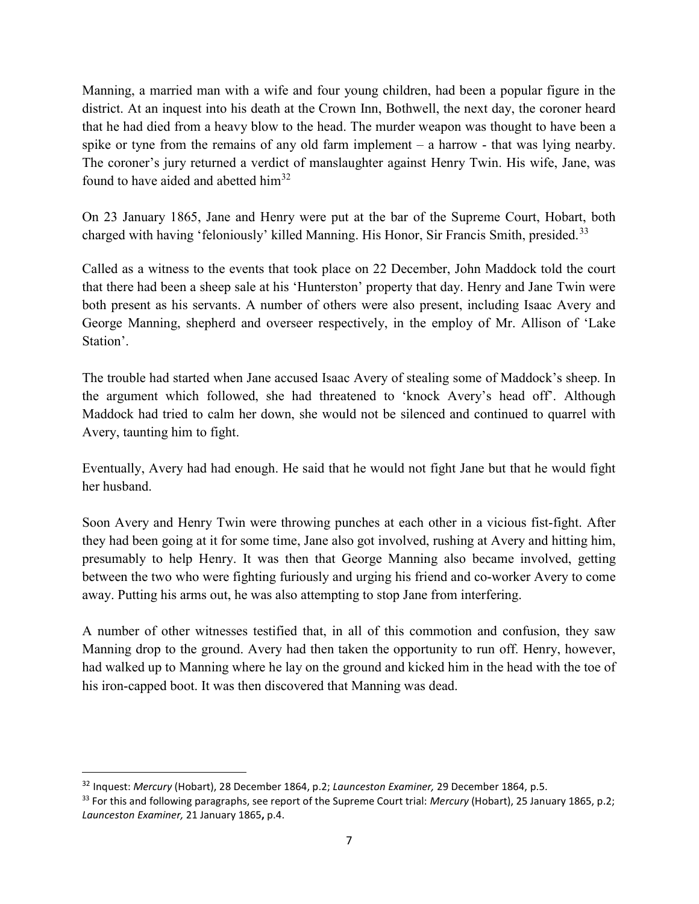Manning, a married man with a wife and four young children, had been a popular figure in the district. At an inquest into his death at the Crown Inn, Bothwell, the next day, the coroner heard that he had died from a heavy blow to the head. The murder weapon was thought to have been a spike or tyne from the remains of any old farm implement – a harrow - that was lying nearby. The coroner's jury returned a verdict of manslaughter against Henry Twin. His wife, Jane, was found to have aided and abetted him<sup>32</sup>

On 23 January 1865, Jane and Henry were put at the bar of the Supreme Court, Hobart, both charged with having 'feloniously' killed Manning. His Honor, Sir Francis Smith, presided.<sup>33</sup>

Called as a witness to the events that took place on 22 December, John Maddock told the court that there had been a sheep sale at his 'Hunterston' property that day. Henry and Jane Twin were both present as his servants. A number of others were also present, including Isaac Avery and George Manning, shepherd and overseer respectively, in the employ of Mr. Allison of 'Lake Station'.

The trouble had started when Jane accused Isaac Avery of stealing some of Maddock's sheep. In the argument which followed, she had threatened to 'knock Avery's head off'. Although Maddock had tried to calm her down, she would not be silenced and continued to quarrel with Avery, taunting him to fight.

Eventually, Avery had had enough. He said that he would not fight Jane but that he would fight her husband.

Soon Avery and Henry Twin were throwing punches at each other in a vicious fist-fight. After they had been going at it for some time, Jane also got involved, rushing at Avery and hitting him, presumably to help Henry. It was then that George Manning also became involved, getting between the two who were fighting furiously and urging his friend and co-worker Avery to come away. Putting his arms out, he was also attempting to stop Jane from interfering.

A number of other witnesses testified that, in all of this commotion and confusion, they saw Manning drop to the ground. Avery had then taken the opportunity to run off. Henry, however, had walked up to Manning where he lay on the ground and kicked him in the head with the toe of his iron-capped boot. It was then discovered that Manning was dead.

 $\overline{a}$ 

<sup>&</sup>lt;sup>32</sup> Inquest: Mercury (Hobart), 28 December 1864, p.2; Launceston Examiner, 29 December 1864, p.5.

 $33$  For this and following paragraphs, see report of the Supreme Court trial: Mercury (Hobart), 25 January 1865, p.2; Launceston Examiner, 21 January 1865, p.4.